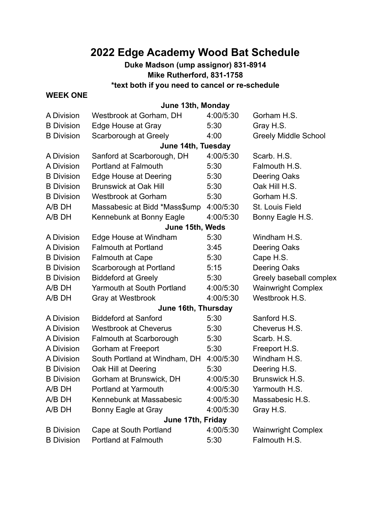# **2022 Edge Academy Wood Bat Schedule**

### **Duke Madson (ump assignor) 831-8914 Mike Rutherford, 831-1758 \*text both if you need to cancel or re-schedule**

#### **WEEK ONE**

| June 13th, Monday |                                   |           |                             |  |
|-------------------|-----------------------------------|-----------|-----------------------------|--|
| A Division        | Westbrook at Gorham, DH           | 4:00/5:30 | Gorham H.S.                 |  |
| <b>B</b> Division | Edge House at Gray                | 5:30      | Gray H.S.                   |  |
| <b>B</b> Division | Scarborough at Greely             | 4:00      | <b>Greely Middle School</b> |  |
|                   | June 14th, Tuesday                |           |                             |  |
| A Division        | Sanford at Scarborough, DH        | 4:00/5:30 | Scarb. H.S.                 |  |
| A Division        | Portland at Falmouth              | 5:30      | Falmouth H.S.               |  |
| <b>B</b> Division | <b>Edge House at Deering</b>      | 5:30      | <b>Deering Oaks</b>         |  |
| <b>B</b> Division | <b>Brunswick at Oak Hill</b>      | 5:30      | Oak Hill H.S.               |  |
| <b>B</b> Division | <b>Westbrook at Gorham</b>        | 5:30      | Gorham H.S.                 |  |
| A/B DH            | Massabesic at Bidd *Mass\$ump     | 4:00/5:30 | St. Louis Field             |  |
| A/B DH            | Kennebunk at Bonny Eagle          | 4:00/5:30 | Bonny Eagle H.S.            |  |
|                   | June 15th, Weds                   |           |                             |  |
| A Division        | Edge House at Windham             | 5:30      | Windham H.S.                |  |
| A Division        | <b>Falmouth at Portland</b>       | 3:45      | <b>Deering Oaks</b>         |  |
| <b>B</b> Division | <b>Falmouth at Cape</b>           | 5:30      | Cape H.S.                   |  |
| <b>B</b> Division | Scarborough at Portland           | 5:15      | <b>Deering Oaks</b>         |  |
| <b>B</b> Division | <b>Biddeford at Greely</b>        | 5:30      | Greely baseball complex     |  |
| A/B DH            | <b>Yarmouth at South Portland</b> | 4:00/5:30 | <b>Wainwright Complex</b>   |  |
| A/B DH            | Gray at Westbrook                 | 4:00/5:30 | Westbrook H.S.              |  |
|                   | June 16th, Thursday               |           |                             |  |
| A Division        | <b>Biddeford at Sanford</b>       | 5:30      | Sanford H.S.                |  |
| A Division        | <b>Westbrook at Cheverus</b>      | 5:30      | Cheverus H.S.               |  |
| A Division        | <b>Falmouth at Scarborough</b>    | 5:30      | Scarb. H.S.                 |  |
| A Division        | Gorham at Freeport                | 5:30      | Freeport H.S.               |  |
| A Division        | South Portland at Windham, DH     | 4:00/5:30 | Windham H.S.                |  |
| <b>B</b> Division | Oak Hill at Deering               | 5:30      | Deering H.S.                |  |
| <b>B</b> Division | Gorham at Brunswick, DH           | 4:00/5:30 | Brunswick H.S.              |  |
| A/B DH            | Portland at Yarmouth              | 4:00/5:30 | Yarmouth H.S.               |  |
| A/B DH            | Kennebunk at Massabesic           | 4:00/5:30 | Massabesic H.S.             |  |
| A/B DH            | Bonny Eagle at Gray               | 4:00/5:30 | Gray H.S.                   |  |
| June 17th, Friday |                                   |           |                             |  |
| <b>B</b> Division | Cape at South Portland            | 4:00/5:30 | <b>Wainwright Complex</b>   |  |
| <b>B</b> Division | <b>Portland at Falmouth</b>       | 5:30      | Falmouth H.S.               |  |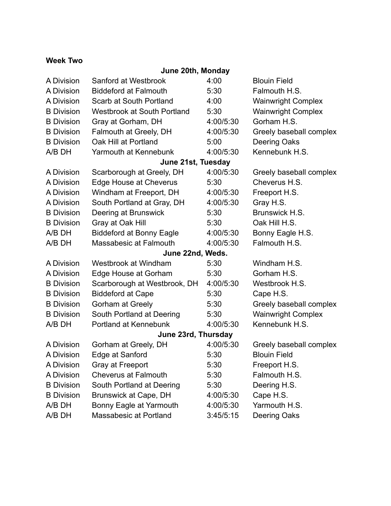#### **Week Two**

| June 20th, Monday   |                                    |           |                           |  |  |
|---------------------|------------------------------------|-----------|---------------------------|--|--|
| A Division          | Sanford at Westbrook               | 4:00      | <b>Blouin Field</b>       |  |  |
| A Division          | <b>Biddeford at Falmouth</b>       | 5:30      | Falmouth H.S.             |  |  |
| A Division          | Scarb at South Portland            | 4:00      | <b>Wainwright Complex</b> |  |  |
| <b>B</b> Division   | <b>Westbrook at South Portland</b> | 5:30      | <b>Wainwright Complex</b> |  |  |
| <b>B</b> Division   | Gray at Gorham, DH                 | 4:00/5:30 | Gorham H.S.               |  |  |
| <b>B</b> Division   | Falmouth at Greely, DH             | 4:00/5:30 | Greely baseball complex   |  |  |
| <b>B</b> Division   | Oak Hill at Portland               | 5:00      | <b>Deering Oaks</b>       |  |  |
| A/B DH              | Yarmouth at Kennebunk              | 4:00/5:30 | Kennebunk H.S.            |  |  |
|                     | June 21st, Tuesday                 |           |                           |  |  |
| A Division          | Scarborough at Greely, DH          | 4:00/5:30 | Greely baseball complex   |  |  |
| A Division          | <b>Edge House at Cheverus</b>      | 5:30      | Cheverus H.S.             |  |  |
| A Division          | Windham at Freeport, DH            | 4:00/5:30 | Freeport H.S.             |  |  |
| A Division          | South Portland at Gray, DH         | 4:00/5:30 | Gray H.S.                 |  |  |
| <b>B</b> Division   | Deering at Brunswick               | 5:30      | Brunswick H.S.            |  |  |
| <b>B</b> Division   | Gray at Oak Hill                   | 5:30      | Oak Hill H.S.             |  |  |
| A/B DH              | <b>Biddeford at Bonny Eagle</b>    | 4:00/5:30 | Bonny Eagle H.S.          |  |  |
| A/B DH              | Massabesic at Falmouth             | 4:00/5:30 | Falmouth H.S.             |  |  |
|                     | June 22nd, Weds.                   |           |                           |  |  |
| A Division          | Westbrook at Windham               | 5:30      | Windham H.S.              |  |  |
| A Division          | Edge House at Gorham               | 5:30      | Gorham H.S.               |  |  |
| <b>B</b> Division   | Scarborough at Westbrook, DH       | 4:00/5:30 | Westbrook H.S.            |  |  |
| <b>B</b> Division   | <b>Biddeford at Cape</b>           | 5:30      | Cape H.S.                 |  |  |
| <b>B</b> Division   | <b>Gorham at Greely</b>            | 5:30      | Greely baseball complex   |  |  |
| <b>B</b> Division   | South Portland at Deering          | 5:30      | <b>Wainwright Complex</b> |  |  |
| A/B DH              | Portland at Kennebunk              | 4:00/5:30 | Kennebunk H.S.            |  |  |
| June 23rd, Thursday |                                    |           |                           |  |  |
| A Division          | Gorham at Greely, DH               | 4:00/5:30 | Greely baseball complex   |  |  |
| A Division          | Edge at Sanford                    | 5:30      | <b>Blouin Field</b>       |  |  |
| A Division          | Gray at Freeport                   | 5:30      | Freeport H.S.             |  |  |
| A Division          | <b>Cheverus at Falmouth</b>        | 5:30      | Falmouth H.S.             |  |  |
| <b>B</b> Division   | South Portland at Deering          | 5:30      | Deering H.S.              |  |  |
| <b>B</b> Division   | Brunswick at Cape, DH              | 4:00/5:30 | Cape H.S.                 |  |  |
| A/B DH              | Bonny Eagle at Yarmouth            | 4:00/5:30 | Yarmouth H.S.             |  |  |
| A/B DH              | <b>Massabesic at Portland</b>      | 3:45/5:15 | Deering Oaks              |  |  |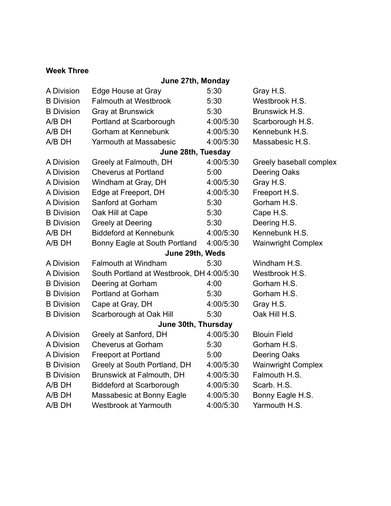| June 27th, Monday   |                                           |           |                           |  |
|---------------------|-------------------------------------------|-----------|---------------------------|--|
| A Division          | Edge House at Gray                        | 5:30      | Gray H.S.                 |  |
| <b>B</b> Division   | <b>Falmouth at Westbrook</b>              | 5:30      | Westbrook H.S.            |  |
| <b>B</b> Division   | Gray at Brunswick                         | 5:30      | Brunswick H.S.            |  |
| A/B DH              | Portland at Scarborough                   | 4:00/5:30 | Scarborough H.S.          |  |
| A/B DH              | Gorham at Kennebunk                       | 4:00/5:30 | Kennebunk H.S.            |  |
| A/B DH              | Yarmouth at Massabesic                    | 4:00/5:30 | Massabesic H.S.           |  |
|                     | June 28th, Tuesday                        |           |                           |  |
| A Division          | Greely at Falmouth, DH                    | 4:00/5:30 | Greely baseball complex   |  |
| A Division          | <b>Cheverus at Portland</b>               | 5:00      | <b>Deering Oaks</b>       |  |
| A Division          | Windham at Gray, DH                       | 4:00/5:30 | Gray H.S.                 |  |
| A Division          | Edge at Freeport, DH                      | 4:00/5:30 | Freeport H.S.             |  |
| A Division          | Sanford at Gorham                         | 5:30      | Gorham H.S.               |  |
| <b>B</b> Division   | Oak Hill at Cape                          | 5:30      | Cape H.S.                 |  |
| <b>B</b> Division   | Greely at Deering                         | 5:30      | Deering H.S.              |  |
| A/B DH              | <b>Biddeford at Kennebunk</b>             | 4:00/5:30 | Kennebunk H.S.            |  |
| A/B DH              | Bonny Eagle at South Portland             | 4:00/5:30 | <b>Wainwright Complex</b> |  |
|                     | June 29th, Weds                           |           |                           |  |
| A Division          | <b>Falmouth at Windham</b>                | 5:30      | Windham H.S.              |  |
| A Division          | South Portland at Westbrook, DH 4:00/5:30 |           | Westbrook H.S.            |  |
| <b>B</b> Division   | Deering at Gorham                         | 4:00      | Gorham H.S.               |  |
| <b>B</b> Division   | Portland at Gorham                        | 5:30      | Gorham H.S.               |  |
| <b>B</b> Division   | Cape at Gray, DH                          | 4:00/5:30 | Gray H.S.                 |  |
| <b>B</b> Division   | Scarborough at Oak Hill                   | 5:30      | Oak Hill H.S.             |  |
| June 30th, Thursday |                                           |           |                           |  |
| A Division          | Greely at Sanford, DH                     | 4:00/5:30 | <b>Blouin Field</b>       |  |
| A Division          | <b>Cheverus at Gorham</b>                 | 5:30      | Gorham H.S.               |  |
| A Division          | <b>Freeport at Portland</b>               | 5:00      | <b>Deering Oaks</b>       |  |
| <b>B</b> Division   | Greely at South Portland, DH              | 4:00/5:30 | <b>Wainwright Complex</b> |  |
| <b>B</b> Division   | Brunswick at Falmouth, DH                 | 4:00/5:30 | Falmouth H.S.             |  |
| A/B DH              | <b>Biddeford at Scarborough</b>           | 4:00/5:30 | Scarb. H.S.               |  |
| A/B DH              | Massabesic at Bonny Eagle                 | 4:00/5:30 | Bonny Eagle H.S.          |  |
| A/B DH              | <b>Westbrook at Yarmouth</b>              | 4:00/5:30 | Yarmouth H.S.             |  |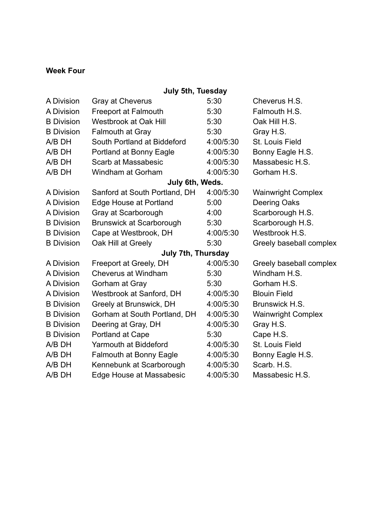### **Week Four**

## **July 5th, Tuesday**

| A Division        | <b>Gray at Cheverus</b>         | 5:30      | Cheverus H.S.             |
|-------------------|---------------------------------|-----------|---------------------------|
| A Division        | <b>Freeport at Falmouth</b>     | 5:30      | Falmouth H.S.             |
| <b>B</b> Division | <b>Westbrook at Oak Hill</b>    | 5:30      | Oak Hill H.S.             |
| <b>B</b> Division | <b>Falmouth at Gray</b>         | 5:30      | Gray H.S.                 |
| A/B DH            | South Portland at Biddeford     | 4:00/5:30 | St. Louis Field           |
| A/B DH            | Portland at Bonny Eagle         | 4:00/5:30 | Bonny Eagle H.S.          |
| A/B DH            | Scarb at Massabesic             | 4:00/5:30 | Massabesic H.S.           |
| A/B DH            | Windham at Gorham               | 4:00/5:30 | Gorham H.S.               |
|                   | July 6th, Weds.                 |           |                           |
| A Division        | Sanford at South Portland, DH   | 4:00/5:30 | <b>Wainwright Complex</b> |
| A Division        | <b>Edge House at Portland</b>   | 5:00      | <b>Deering Oaks</b>       |
| A Division        | Gray at Scarborough             | 4:00      | Scarborough H.S.          |
| <b>B</b> Division | <b>Brunswick at Scarborough</b> | 5:30      | Scarborough H.S.          |
| <b>B</b> Division | Cape at Westbrook, DH           | 4:00/5:30 | Westbrook H.S.            |
| <b>B</b> Division | Oak Hill at Greely              | 5:30      | Greely baseball complex   |
|                   | <b>July 7th, Thursday</b>       |           |                           |
| A Division        | Freeport at Greely, DH          | 4:00/5:30 | Greely baseball complex   |
| A Division        | <b>Cheverus at Windham</b>      | 5:30      | Windham H.S.              |
| A Division        | Gorham at Gray                  | 5:30      | Gorham H.S.               |
| A Division        | Westbrook at Sanford, DH        | 4:00/5:30 | <b>Blouin Field</b>       |
| <b>B</b> Division | Greely at Brunswick, DH         | 4:00/5:30 | Brunswick H.S.            |
| <b>B</b> Division | Gorham at South Portland, DH    | 4:00/5:30 | <b>Wainwright Complex</b> |
| <b>B</b> Division | Deering at Gray, DH             | 4:00/5:30 | Gray H.S.                 |
| <b>B</b> Division | Portland at Cape                | 5:30      | Cape H.S.                 |
| A/B DH            | <b>Yarmouth at Biddeford</b>    | 4:00/5:30 | St. Louis Field           |
| A/B DH            | <b>Falmouth at Bonny Eagle</b>  | 4:00/5:30 | Bonny Eagle H.S.          |
| A/B DH            | Kennebunk at Scarborough        | 4:00/5:30 | Scarb. H.S.               |
| A/B DH            | Edge House at Massabesic        | 4:00/5:30 | Massabesic H.S.           |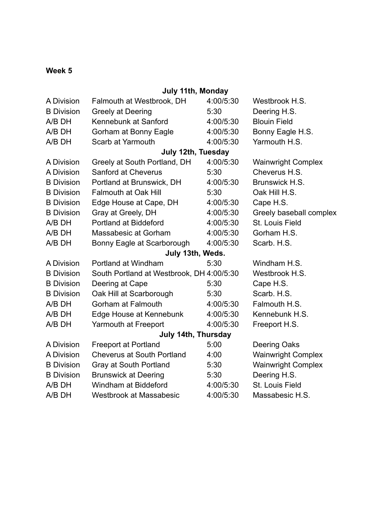#### **Week 5**

## **July 11th, Monday**

| A Division          | Falmouth at Westbrook, DH                 | 4:00/5:30 | Westbrook H.S.            |  |
|---------------------|-------------------------------------------|-----------|---------------------------|--|
| <b>B</b> Division   | <b>Greely at Deering</b>                  | 5:30      | Deering H.S.              |  |
| A/B DH              | Kennebunk at Sanford                      | 4:00/5:30 | <b>Blouin Field</b>       |  |
| A/B DH              | Gorham at Bonny Eagle                     | 4:00/5:30 | Bonny Eagle H.S.          |  |
| A/B DH              | Scarb at Yarmouth                         | 4:00/5:30 | Yarmouth H.S.             |  |
|                     | July 12th, Tuesday                        |           |                           |  |
| A Division          | Greely at South Portland, DH              | 4:00/5:30 | <b>Wainwright Complex</b> |  |
| A Division          | Sanford at Cheverus                       | 5:30      | Cheverus H.S.             |  |
| <b>B</b> Division   | Portland at Brunswick, DH                 | 4:00/5:30 | Brunswick H.S.            |  |
| <b>B</b> Division   | <b>Falmouth at Oak Hill</b>               | 5:30      | Oak Hill H.S.             |  |
| <b>B</b> Division   | Edge House at Cape, DH                    | 4:00/5:30 | Cape H.S.                 |  |
| <b>B</b> Division   | Gray at Greely, DH                        | 4:00/5:30 | Greely baseball complex   |  |
| A/B DH              | Portland at Biddeford                     | 4:00/5:30 | St. Louis Field           |  |
| A/B DH              | Massabesic at Gorham                      | 4:00/5:30 | Gorham H.S.               |  |
| A/B DH              | Bonny Eagle at Scarborough                | 4:00/5:30 | Scarb. H.S.               |  |
|                     | July 13th, Weds.                          |           |                           |  |
| A Division          | Portland at Windham                       | 5:30      | Windham H.S.              |  |
| <b>B</b> Division   | South Portland at Westbrook, DH 4:00/5:30 |           | Westbrook H.S.            |  |
| <b>B</b> Division   | Deering at Cape                           | 5:30      | Cape H.S.                 |  |
| <b>B</b> Division   | Oak Hill at Scarborough                   | 5:30      | Scarb. H.S.               |  |
| A/B DH              | Gorham at Falmouth                        | 4:00/5:30 | Falmouth H.S.             |  |
| A/B DH              | Edge House at Kennebunk                   | 4:00/5:30 | Kennebunk H.S.            |  |
| A/B DH              | Yarmouth at Freeport                      | 4:00/5:30 | Freeport H.S.             |  |
| July 14th, Thursday |                                           |           |                           |  |
| A Division          | <b>Freeport at Portland</b>               | 5:00      | <b>Deering Oaks</b>       |  |
| A Division          | <b>Cheverus at South Portland</b>         | 4:00      | <b>Wainwright Complex</b> |  |
| <b>B</b> Division   | Gray at South Portland                    | 5:30      | <b>Wainwright Complex</b> |  |
| <b>B</b> Division   | <b>Brunswick at Deering</b>               | 5:30      | Deering H.S.              |  |
| A/B DH              | Windham at Biddeford                      | 4:00/5:30 | St. Louis Field           |  |
| A/B DH              | <b>Westbrook at Massabesic</b>            | 4:00/5:30 | Massabesic H.S.           |  |